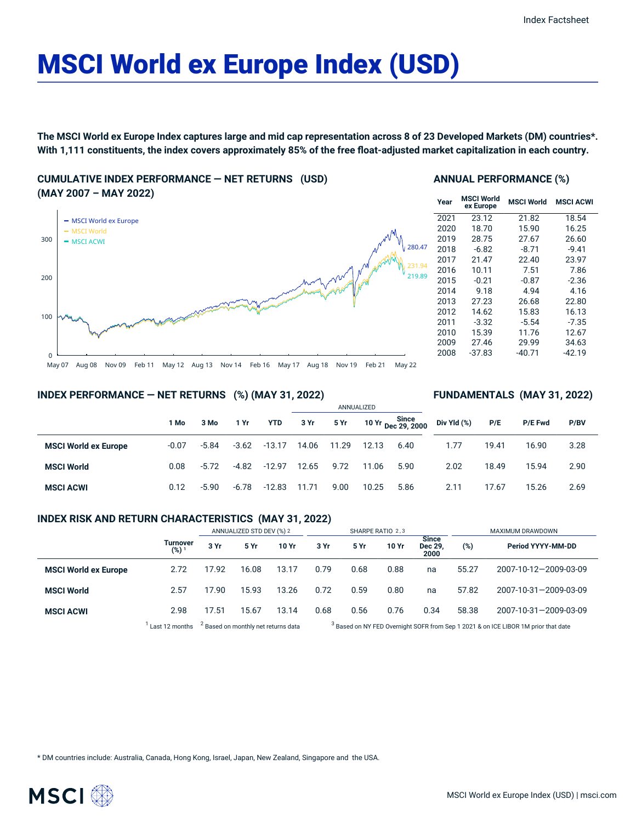# MSCI World ex Europe Index (USD)

The MSCI World ex Europe Index captures large and mid cap representation across 8 of 23 Developed Markets (DM) countries\*. With 1,111 constituents, the index covers approximately 85% of the free float-adjusted market capitalization in each country.

**CUMULATIVE INDEX PERFORMANCE — NET RETURNS (USD) (MAY 2007 – MAY 2022)**



#### **ANNUAL PERFORMANCE (%)**

| <b>MSCI World</b><br>ex Europe | <b>MSCI World</b> | <b>MSCI ACWI</b> |
|--------------------------------|-------------------|------------------|
| 23.12                          | 21.82             | 18.54            |
| 18.70                          | 15.90             | 16.25            |
| 28.75                          | 27.67             | 26.60            |
| $-6.82$                        | $-8.71$           | $-9.41$          |
| 21.47                          | 22.40             | 23.97            |
| 10.11                          | 7.51              | 7.86             |
| $-0.21$                        | $-0.87$           | $-2.36$          |
| 9.18                           | 4.94              | 4.16             |
| 27.23                          | 26.68             | 22.80            |
| 14.62                          | 15.83             | 16.13            |
| $-3.32$                        | $-5.54$           | $-7.35$          |
| 15.39                          | 11.76             | 12.67            |
| 27.46                          | 29.99             | 34.63            |
| $-37.83$                       | $-40.71$          | $-42.19$         |
|                                |                   |                  |

**FUNDAMENTALS (MAY 31, 2022)**

#### **INDEX PERFORMANCE — NET RETURNS (%) (MAY 31, 2022)**

|                             |         |         |         |            | ANNUALIZED |       |       |                             |             |       |         |      |  |
|-----------------------------|---------|---------|---------|------------|------------|-------|-------|-----------------------------|-------------|-------|---------|------|--|
|                             | 1 Mo    | 3 Mo    | 1 Yr    | <b>YTD</b> | 3 Yr       | 5 Yr  |       | 10 Yr Since<br>Dec 29, 2000 | Div Yld (%) | P/E   | P/E Fwd | P/BV |  |
| <b>MSCI World ex Europe</b> | $-0.07$ | $-5.84$ | $-3.62$ | $-13.17$   | 14.06      | 11.29 | 12.13 | 6.40                        | 1.77        | 19.41 | 16.90   | 3.28 |  |
| <b>MSCI World</b>           | 0.08    | $-5.72$ | $-4.82$ | $-12.97$   | 12.65      | 9.72  | 11.06 | 5.90                        | 2.02        | 18.49 | 15.94   | 2.90 |  |
| <b>MSCI ACWI</b>            | 0.12    | $-5.90$ | $-6.78$ | $-12.83$   | 11.71      | 9.00  | 10.25 | 5.86                        | 2.11        | 17.67 | 15.26   | 2.69 |  |

#### **INDEX RISK AND RETURN CHARACTERISTICS (MAY 31, 2022)**

|                             |                              | ANNUALIZED STD DEV (%) 2 |                                                |       | SHARPE RATIO 2,3 |                                                                                               |       |                          | MAXIMUM DRAWDOWN |                       |  |
|-----------------------------|------------------------------|--------------------------|------------------------------------------------|-------|------------------|-----------------------------------------------------------------------------------------------|-------|--------------------------|------------------|-----------------------|--|
|                             | Turnover<br>(%) <sup>1</sup> | 3 Yr                     | 5 Yr                                           | 10 Yr | 3 Yr             | 5 Yr                                                                                          | 10 Yr | Since<br>Dec 29,<br>2000 | (%)              | Period YYYY-MM-DD     |  |
| <b>MSCI World ex Europe</b> | 2.72                         | 17.92                    | 16.08                                          | 13.17 | 0.79             | 0.68                                                                                          | 0.88  | na                       | 55.27            | 2007-10-12-2009-03-09 |  |
| <b>MSCI World</b>           | 2.57                         | 17.90                    | 15.93                                          | 13.26 | 0.72             | 0.59                                                                                          | 0.80  | na                       | 57.82            | 2007-10-31-2009-03-09 |  |
| <b>MSCI ACWI</b>            | 2.98                         | 17.51                    | 15.67                                          | 13.14 | 0.68             | 0.56                                                                                          | 0.76  | 0.34                     | 58.38            | 2007-10-31-2009-03-09 |  |
|                             | Last 12 months               |                          | <sup>2</sup> Based on monthly net returns data |       |                  | <sup>3</sup> Based on NY FED Overnight SOFR from Sep 1 2021 & on ICE LIBOR 1M prior that date |       |                          |                  |                       |  |

\* DM countries include: Australia, Canada, Hong Kong, Israel, Japan, New Zealand, Singapore and the USA.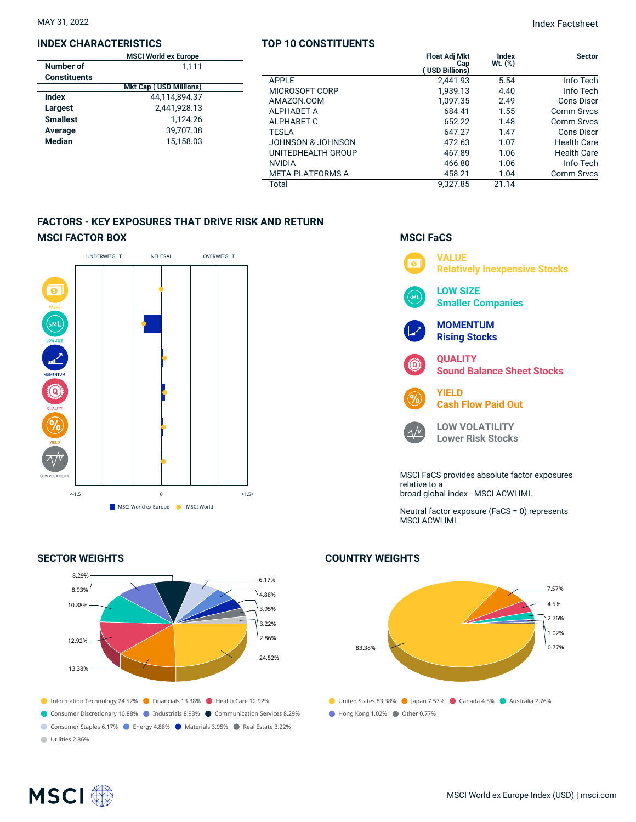#### **INDEX CHARACTERISTICS**

|                     | <b>MSCI World ex Europe</b>   |  |
|---------------------|-------------------------------|--|
| Number of           | 1.111                         |  |
| <b>Constituents</b> |                               |  |
|                     | <b>Mkt Cap (USD Millions)</b> |  |
| Index               | 44.114.894.37                 |  |
| Largest             | 2,441,928.13                  |  |
| <b>Smallest</b>     | 1.124.26                      |  |
| Average             | 39.707.38                     |  |
| <b>Median</b>       | 15.158.03                     |  |
|                     |                               |  |

#### **TOP 10 CONSTITUENTS**

| pе<br>11 |                         | <b>Float Adj Mkt</b><br>Cap<br><b>USD Billions)</b> | <b>Index</b><br>Wt. (%) | <b>Sector</b>      |
|----------|-------------------------|-----------------------------------------------------|-------------------------|--------------------|
|          | <b>APPLE</b>            | 2,441.93                                            | 5.54                    | Info Tech          |
| ns)      | MICROSOFT CORP          | 1.939.13                                            | 4.40                    | Info Tech          |
| .37      | AMAZON.COM              | 1,097.35                                            | 2.49                    | <b>Cons Discr</b>  |
| .13      | <b>ALPHABET A</b>       | 684.41                                              | 1.55                    | Comm Srvcs         |
| .26      | ALPHABET C              | 652.22                                              | 1.48                    | Comm Srvcs         |
| .38      | <b>TESLA</b>            | 647.27                                              | 1.47                    | Cons Discr         |
| .03      | JOHNSON & JOHNSON       | 472.63                                              | 1.07                    | <b>Health Care</b> |
|          | UNITEDHEALTH GROUP      | 467.89                                              | 1.06                    | <b>Health Care</b> |
|          | <b>NVIDIA</b>           | 466.80                                              | 1.06                    | Info Tech          |
|          | <b>META PLATFORMS A</b> | 458.21                                              | 1.04                    | <b>Comm Srvcs</b>  |
|          | Total                   | 9.327.85                                            | 21.14                   |                    |

### **FACTORS - KEY EXPOSURES THAT DRIVE RISK AND RETURN MSCI FACTOR BOX**



#### **SECTOR WEIGHTS**



## **MSCI FaCS**



Neutral factor exposure (FaCS = 0) represents MSCI ACWI IMI.

## ● United States 83.38% ● Japan 7.57% ● Canada 4.5% ● Australia 2.76% Hong Kong 1.02% Other 0.77% 83.38% 7.57% 4.5% 2.76% 1.02%  $0.77%$

#### **COUNTRY WEIGHTS**